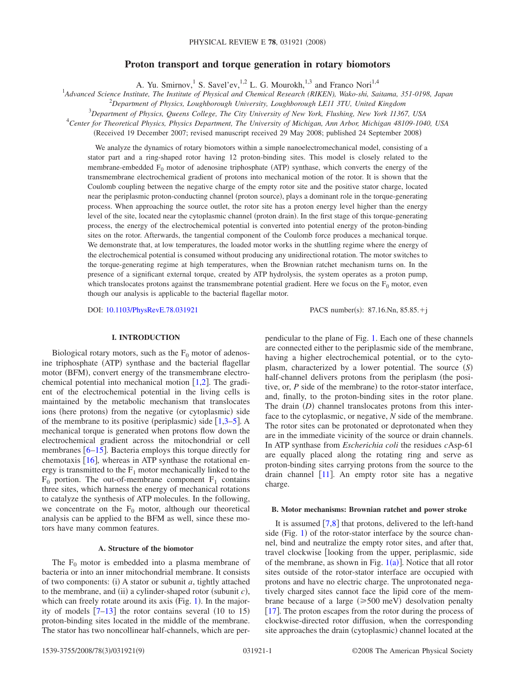# **Proton transport and torque generation in rotary biomotors**

A. Yu. Smirnov,<sup>1</sup> S. Savel'ev,<sup>1,2</sup> L. G. Mourokh,<sup>1,3</sup> and Franco Nori<sup>1,4</sup>

1 *Advanced Science Institute, The Institute of Physical and Chemical Research (RIKEN), Wako-shi, Saitama, 351-0198, Japan*

2 *Department of Physics, Loughborough University, Loughborough LE11 3TU, United Kingdom*

3 *Department of Physics, Queens College, The City University of New York, Flushing, New York 11367, USA*

4 *Center for Theoretical Physics, Physics Department, The University of Michigan, Ann Arbor, Michigan 48109-1040, USA*

(Received 19 December 2007; revised manuscript received 29 May 2008; published 24 September 2008)

We analyze the dynamics of rotary biomotors within a simple nanoelectromechanical model, consisting of a stator part and a ring-shaped rotor having 12 proton-binding sites. This model is closely related to the membrane-embedded  $F_0$  motor of adenosine triphosphate (ATP) synthase, which converts the energy of the transmembrane electrochemical gradient of protons into mechanical motion of the rotor. It is shown that the Coulomb coupling between the negative charge of the empty rotor site and the positive stator charge, located near the periplasmic proton-conducting channel (proton source), plays a dominant role in the torque-generating process. When approaching the source outlet, the rotor site has a proton energy level higher than the energy level of the site, located near the cytoplasmic channel (proton drain). In the first stage of this torque-generating process, the energy of the electrochemical potential is converted into potential energy of the proton-binding sites on the rotor. Afterwards, the tangential component of the Coulomb force produces a mechanical torque. We demonstrate that, at low temperatures, the loaded motor works in the shuttling regime where the energy of the electrochemical potential is consumed without producing any unidirectional rotation. The motor switches to the torque-generating regime at high temperatures, when the Brownian ratchet mechanism turns on. In the presence of a significant external torque, created by ATP hydrolysis, the system operates as a proton pump, which translocates protons against the transmembrane potential gradient. Here we focus on the  $F_0$  motor, even though our analysis is applicable to the bacterial flagellar motor.

DOI: [10.1103/PhysRevE.78.031921](http://dx.doi.org/10.1103/PhysRevE.78.031921)

PACS number(s):  $87.16$ . Nn,  $85.85.+i$ 

### **I. INTRODUCTION**

Biological rotary motors, such as the  $F_0$  motor of adenosine triphosphate (ATP) synthase and the bacterial flagellar motor (BFM), convert energy of the transmembrane electrochemical potential into mechanical motion  $[1,2]$  $[1,2]$  $[1,2]$  $[1,2]$ . The gradient of the electrochemical potential in the living cells is maintained by the metabolic mechanism that translocates ions (here protons) from the negative (or cytoplasmic) side of the membrane to its positive (periplasmic) side  $[1,3-5]$  $[1,3-5]$  $[1,3-5]$  $[1,3-5]$  $[1,3-5]$ . A mechanical torque is generated when protons flow down the electrochemical gradient across the mitochondrial or cell membranes  $\lceil 6-15 \rceil$  $\lceil 6-15 \rceil$  $\lceil 6-15 \rceil$ . Bacteria employs this torque directly for chemotaxis  $[16]$  $[16]$  $[16]$ , whereas in ATP synthase the rotational energy is transmitted to the  $F_1$  motor mechanically linked to the  $F_0$  portion. The out-of-membrane component  $F_1$  contains three sites, which harness the energy of mechanical rotations to catalyze the synthesis of ATP molecules. In the following, we concentrate on the  $F_0$  motor, although our theoretical analysis can be applied to the BFM as well, since these motors have many common features.

## **A. Structure of the biomotor**

The  $F_0$  motor is embedded into a plasma membrane of bacteria or into an inner mitochondrial membrane. It consists of two components: (i) A stator or subunit *a*, tightly attached to the membrane, and (ii) a cylinder-shaped rotor (subunit  $c$ ), which can freely rotate around its axis (Fig.  $1$ ). In the majority of models  $[7-13]$  $[7-13]$  $[7-13]$  the rotor contains several (10 to 15) proton-binding sites located in the middle of the membrane. The stator has two noncollinear half-channels, which are perpendicular to the plane of Fig. [1.](#page-1-0) Each one of these channels are connected either to the periplasmic side of the membrane, having a higher electrochemical potential, or to the cytoplasm, characterized by a lower potential. The source *S*half-channel delivers protons from the periplasm (the positive, or,  $P$  side of the membrane) to the rotor-stator interface, and, finally, to the proton-binding sites in the rotor plane. The drain  $(D)$  channel translocates protons from this interface to the cytoplasmic, or negative, *N* side of the membrane. The rotor sites can be protonated or deprotonated when they are in the immediate vicinity of the source or drain channels. In ATP synthase from *Escherichia coli* the residues *c*Asp-61 are equally placed along the rotating ring and serve as proton-binding sites carrying protons from the source to the drain channel  $[11]$  $[11]$  $[11]$ . An empty rotor site has a negative charge.

#### **B. Motor mechanisms: Brownian ratchet and power stroke**

It is assumed  $[7,8]$  $[7,8]$  $[7,8]$  $[7,8]$  that protons, delivered to the left-hand side (Fig.  $1$ ) of the rotor-stator interface by the source channel, bind and neutralize the empty rotor sites, and after that, travel clockwise *looking* from the upper, periplasmic, side of the membrane, as shown in Fig.  $1(a)$  $1(a)$ ]. Notice that all rotor sites outside of the rotor-stator interface are occupied with protons and have no electric charge. The unprotonated negatively charged sites cannot face the lipid core of the membrane because of a large  $(\geq 500 \text{ meV})$  desolvation penalty [[17](#page-8-11)]. The proton escapes from the rotor during the process of clockwise-directed rotor diffusion, when the corresponding site approaches the drain (cytoplasmic) channel located at the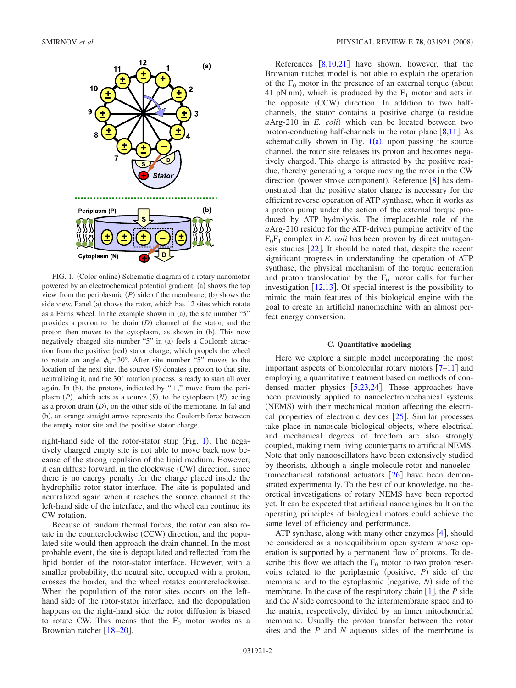<span id="page-1-0"></span>

FIG. 1. (Color online) Schematic diagram of a rotary nanomotor powered by an electrochemical potential gradient. (a) shows the top view from the periplasmic  $(P)$  side of the membrane; (b) shows the side view. Panel (a) shows the rotor, which has 12 sites which rotate as a Ferris wheel. In the example shown in  $(a)$ , the site number "5" provides a proton to the drain (D) channel of the stator, and the proton then moves to the cytoplasm, as shown in (b). This now negatively charged site number "5" in (a) feels a Coulomb attraction from the positive (red) stator charge, which propels the wheel to rotate an angle  $\phi_0$ =30°. After site number "5" moves to the location of the next site, the source  $(S)$  donates a proton to that site, neutralizing it, and the 30° rotation process is ready to start all over again. In (b), the protons, indicated by " $+$ ," move from the periplasm  $(P)$ , which acts as a source  $(S)$ , to the cytoplasm  $(N)$ , acting as a proton drain  $(D)$ , on the other side of the membrane. In  $(a)$  and (b), an orange straight arrow represents the Coulomb force between the empty rotor site and the positive stator charge.

right-hand side of the rotor-stator strip (Fig. [1](#page-1-0)). The negatively charged empty site is not able to move back now because of the strong repulsion of the lipid medium. However, it can diffuse forward, in the clockwise (CW) direction, since there is no energy penalty for the charge placed inside the hydrophilic rotor-stator interface. The site is populated and neutralized again when it reaches the source channel at the left-hand side of the interface, and the wheel can continue its CW rotation.

Because of random thermal forces, the rotor can also rotate in the counterclockwise (CCW) direction, and the populated site would then approach the drain channel. In the most probable event, the site is depopulated and reflected from the lipid border of the rotor-stator interface. However, with a smaller probability, the neutral site, occupied with a proton, crosses the border, and the wheel rotates counterclockwise. When the population of the rotor sites occurs on the lefthand side of the rotor-stator interface, and the depopulation happens on the right-hand side, the rotor diffusion is biased to rotate CW. This means that the  $F_0$  motor works as a Brownian ratchet  $[18–20]$  $[18–20]$  $[18–20]$  $[18–20]$ .

References  $[8,10,21]$  $[8,10,21]$  $[8,10,21]$  $[8,10,21]$  $[8,10,21]$  have shown, however, that the Brownian ratchet model is not able to explain the operation of the  $F_0$  motor in the presence of an external torque (about 41 pN nm), which is produced by the  $F_1$  motor and acts in the opposite (CCW) direction. In addition to two halfchannels, the stator contains a positive charge (a residue aArg-210 in *E. coli*) which can be located between two proton-conducting half-channels in the rotor plane  $\lceil 8,11 \rceil$  $\lceil 8,11 \rceil$  $\lceil 8,11 \rceil$  $\lceil 8,11 \rceil$ . As schematically shown in Fig.  $1(a)$  $1(a)$ , upon passing the source channel, the rotor site releases its proton and becomes negatively charged. This charge is attracted by the positive residue, thereby generating a torque moving the rotor in the CW direction (power stroke component). Reference [[8](#page-8-10)] has demonstrated that the positive stator charge is necessary for the efficient reverse operation of ATP synthase, when it works as a proton pump under the action of the external torque produced by ATP hydrolysis. The irreplaceable role of the *a*Arg-210 residue for the ATP-driven pumping activity of the  $F_0F_1$  complex in *E. coli* has been proven by direct mutagenesis studies  $\lceil 22 \rceil$  $\lceil 22 \rceil$  $\lceil 22 \rceil$ . It should be noted that, despite the recent significant progress in understanding the operation of ATP synthase, the physical mechanism of the torque generation and proton translocation by the  $F_0$  motor calls for further investigation  $[12,13]$  $[12,13]$  $[12,13]$  $[12,13]$ . Of special interest is the possibility to mimic the main features of this biological engine with the goal to create an artificial nanomachine with an almost perfect energy conversion.

#### **C. Quantitative modeling**

Here we explore a simple model incorporating the most important aspects of biomolecular rotary motors  $[7-11]$  $[7-11]$  $[7-11]$  and employing a quantitative treatment based on methods of condensed matter physics  $[5,23,24]$  $[5,23,24]$  $[5,23,24]$  $[5,23,24]$  $[5,23,24]$ . These approaches have been previously applied to nanoelectromechanical systems (NEMS) with their mechanical motion affecting the electrical properties of electronic devices  $[25]$  $[25]$  $[25]$ . Similar processes take place in nanoscale biological objects, where electrical and mechanical degrees of freedom are also strongly coupled, making them living counterparts to artificial NEMS. Note that only nanooscillators have been extensively studied by theorists, although a single-molecule rotor and nanoelectromechanical rotational actuators  $\lceil 26 \rceil$  $\lceil 26 \rceil$  $\lceil 26 \rceil$  have been demonstrated experimentally. To the best of our knowledge, no theoretical investigations of rotary NEMS have been reported yet. It can be expected that artificial nanoengines built on the operating principles of biological motors could achieve the same level of efficiency and performance.

ATP synthase, along with many other enzymes  $[4]$  $[4]$  $[4]$ , should be considered as a nonequilibrium open system whose operation is supported by a permanent flow of protons. To describe this flow we attach the  $F_0$  motor to two proton reservoirs related to the periplasmic (positive,  $P$ ) side of the membrane and to the cytoplasmic (negative, N) side of the membrane. In the case of the respiratory chain  $\lceil 1 \rceil$  $\lceil 1 \rceil$  $\lceil 1 \rceil$ , the *P* side and the *N* side correspond to the intermembrane space and to the matrix, respectively, divided by an inner mitochondrial membrane. Usually the proton transfer between the rotor sites and the *P* and *N* aqueous sides of the membrane is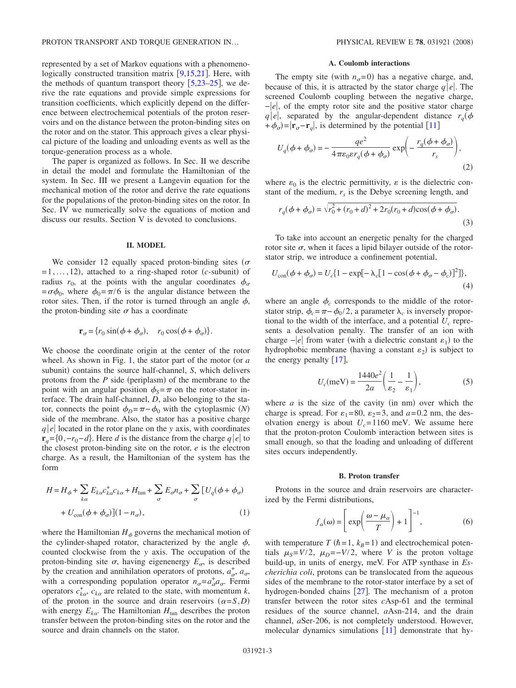represented by a set of Markov equations with a phenomenologically constructed transition matrix  $[9,15,21]$  $[9,15,21]$  $[9,15,21]$  $[9,15,21]$  $[9,15,21]$ . Here, with the methods of quantum transport theory  $\left[5,23-25\right]$  $\left[5,23-25\right]$  $\left[5,23-25\right]$  $\left[5,23-25\right]$ , we derive the rate equations and provide simple expressions for transition coefficients, which explicitly depend on the difference between electrochemical potentials of the proton reservoirs and on the distance between the proton-binding sites on the rotor and on the stator. This approach gives a clear physical picture of the loading and unloading events as well as the torque-generation process as a whole.

The paper is organized as follows. In Sec. II we describe in detail the model and formulate the Hamiltonian of the system. In Sec. III we present a Langevin equation for the mechanical motion of the rotor and derive the rate equations for the populations of the proton-binding sites on the rotor. In Sec. IV we numerically solve the equations of motion and discuss our results. Section V is devoted to conclusions.

#### **II. MODEL**

We consider 12 equally spaced proton-binding sites ( $\sigma$  $= 1, \ldots, 12$ , attached to a ring-shaped rotor *(c*-subunit) of radius  $r_0$ , at the points with the angular coordinates  $\phi_\sigma$  $=\sigma\phi_0$ , where  $\phi_0=\pi/6$  is the angular distance between the rotor sites. Then, if the rotor is turned through an angle  $\phi$ , the proton-binding site  $\sigma$  has a coordinate

$$
\mathbf{r}_{\sigma} = \{r_0 \sin(\phi + \phi_{\sigma}), \quad r_0 \cos(\phi + \phi_{\sigma})\}.
$$

We choose the coordinate origin at the center of the rotor wheel. As shown in Fig. [1,](#page-1-0) the stator part of the motor (or *a* subunit) contains the source half-channel, *S*, which delivers protons from the  $P$  side (periplasm) of the membrane to the point with an angular position  $\phi_s = \pi$  on the rotor-stator interface. The drain half-channel, *D*, also belonging to the stator, connects the point  $\phi_D = \pi - \phi_0$  with the cytoplasmic *(N)* side of the membrane. Also, the stator has a positive charge  $q|e|$  located in the rotor plane on the *y* axis, with coordinates **r**<sub>*a*</sub>={0,−*r*<sub>0</sub>−*d*}. Here *d* is the distance from the charge *qe*  $|e|$  to the closest proton-binding site on the rotor, *e* is the electron charge. As a result, the Hamiltonian of the system has the form

<span id="page-2-0"></span>
$$
H = H_{\phi} + \sum_{k\alpha} E_{k\alpha} c_{k\alpha}^{+} c_{k\alpha} + H_{\text{tun}} + \sum_{\sigma} E_{\sigma} n_{\sigma} + \sum_{\sigma} [U_q(\phi + \phi_{\sigma}) + U_{\text{con}}(\phi + \phi_{\sigma})](1 - n_{\sigma}),
$$
\n(1)

where the Hamiltonian  $H_{\phi}$  governs the mechanical motion of the cylinder-shaped rotator, characterized by the angle  $\phi$ , counted clockwise from the *y* axis. The occupation of the proton-binding site  $\sigma$ , having eigenenergy  $E_{\sigma}$ , is described by the creation and annihilation operators of protons,  $a_{\sigma}^+$ ,  $a_{\sigma}$ , with a corresponding population operator  $n_{\sigma} = a_{\sigma}^{+} a_{\sigma}$ . Fermi operators  $c_{k\alpha}^+$ ,  $c_{k\alpha}$  are related to the state, with momentum *k*, of the proton in the source and drain reservoirs  $(\alpha = S, D)$ with energy  $E_{k\alpha}$ . The Hamiltonian  $H_{\text{tun}}$  describes the proton transfer between the proton-binding sites on the rotor and the source and drain channels on the stator.

# **A. Coulomb interactions**

The empty site (with  $n_{\sigma}=0$ ) has a negative charge, and, because of this, it is attracted by the stator charge  $q|e|$ . The screened Coulomb coupling between the negative charge, *-e*, of the empty rotor site and the positive stator charge *qe*, separated by the angular-dependent distance  $r_q$   $\phi$  $+\phi_{\sigma}$ = $|\mathbf{r}_{\sigma} - \mathbf{r}_{q}|$ , is determined by the potential [[11](#page-8-9)]

<span id="page-2-1"></span>
$$
U_q(\phi + \phi_\sigma) = -\frac{qe^2}{4\pi\varepsilon_0\varepsilon r_q(\phi + \phi_\sigma)} \exp\left(-\frac{r_q(\phi + \phi_\sigma)}{r_s}\right),\tag{2}
$$

where  $\varepsilon_0$  is the electric permittivity,  $\varepsilon$  is the dielectric constant of the medium,  $r<sub>s</sub>$  is the Debye screening length, and

$$
r_q(\phi + \phi_\sigma) = \sqrt{r_0^2 + (r_0 + d)^2 + 2r_0(r_0 + d)\cos(\phi + \phi_\sigma)}.
$$
\n(3)

To take into account an energetic penalty for the charged rotor site  $\sigma$ , when it faces a lipid bilayer outside of the rotorstator strip, we introduce a confinement potential,

<span id="page-2-2"></span>
$$
U_{\rm con}(\phi + \phi_{\sigma}) = U_c \{ 1 - \exp[-\lambda_c [1 - \cos(\phi + \phi_{\sigma} - \phi_c)]^2] \},
$$
\n(4)

where an angle  $\phi_c$  corresponds to the middle of the rotorstator strip,  $\phi_c = \pi - \phi_0 / 2$ , a parameter  $\lambda_c$  is inversely proportional to the width of the interface, and a potential  $U_c$  represents a desolvation penalty. The transfer of an ion with charge  $-|e|$  from water (with a dielectric constant  $\varepsilon_1$ ) to the hydrophobic membrane (having a constant  $\varepsilon_2$ ) is subject to the energy penalty  $[17]$  $[17]$  $[17]$ ,

$$
U_c(\text{meV}) = \frac{1440e^2}{2a} \left(\frac{1}{\varepsilon_2} - \frac{1}{\varepsilon_1}\right),\tag{5}
$$

where  $a$  is the size of the cavity (in nm) over which the charge is spread. For  $\varepsilon_1=80$ ,  $\varepsilon_2=3$ , and  $a=0.2$  nm, the desolvation energy is about  $U_c$ =1160 meV. We assume here that the proton-proton Coulomb interaction between sites is small enough, so that the loading and unloading of different sites occurs independently.

#### **B. Proton transfer**

Protons in the source and drain reservoirs are characterized by the Fermi distributions,

$$
f_{\alpha}(\omega) = \left[ \exp\left(\frac{\omega - \mu_{\alpha}}{T}\right) + 1 \right]^{-1}, \tag{6}
$$

with temperature  $T(h=1, k_B=1)$  and electrochemical potentials  $\mu_S = V/2$ ,  $\mu_D = -V/2$ , where *V* is the proton voltage build-up, in units of energy, meV. For ATP synthase in *Escherichia coli*, protons can be translocated from the aqueous sides of the membrane to the rotor-stator interface by a set of hydrogen-bonded chains  $[27]$  $[27]$  $[27]$ . The mechanism of a proton transfer between the rotor sites *c*Asp-61 and the terminal residues of the source channel, *a*Asn-214, and the drain channel, *a*Ser-206, is not completely understood. However, molecular dynamics simulations  $[11]$  $[11]$  $[11]$  demonstrate that hy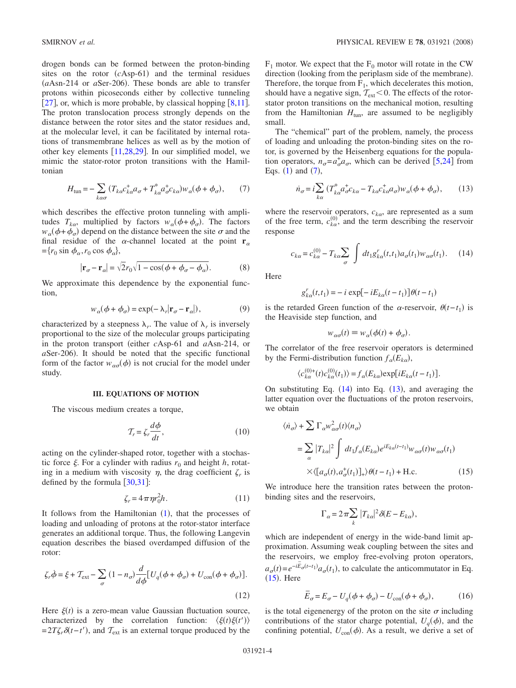drogen bonds can be formed between the proton-binding sites on the rotor  $(cAsp-61)$  and the terminal residues (*a*Asn-214 or *a*Ser-206). These bonds are able to transfer protons within picoseconds either by collective tunneling [[27](#page-8-24)], or, which is more probable, by classical hopping  $[8,11]$  $[8,11]$  $[8,11]$  $[8,11]$ . The proton translocation process strongly depends on the distance between the rotor sites and the stator residues and, at the molecular level, it can be facilitated by internal rotations of transmembrane helices as well as by the motion of other key elements  $[11,28,29]$  $[11,28,29]$  $[11,28,29]$  $[11,28,29]$  $[11,28,29]$ . In our simplified model, we mimic the stator-rotor proton transitions with the Hamiltonian

$$
H_{\text{tun}} = -\sum_{k\alpha\sigma} \left( T_{k\alpha} c_{k\alpha}^{\dagger} a_{\sigma} + T_{k\alpha}^{*} a_{\sigma}^{\dagger} c_{k\alpha} \right) w_{\alpha} (\phi + \phi_{\sigma}), \qquad (7)
$$

<span id="page-3-0"></span>which describes the effective proton tunneling with amplitudes  $T_{k\alpha}$ , multiplied by factors  $w_{\alpha}(\phi + \phi_{\sigma})$ . The factors  $w_{\alpha}(\phi + \phi_{\sigma})$  depend on the distance between the site  $\sigma$  and the final residue of the  $\alpha$ -channel located at the point **r**<sub> $\alpha$ </sub>  $=$ { $r_0 \sin \phi_\alpha$ , $r_0 \cos \phi_\alpha$ },

$$
|\mathbf{r}_{\sigma} - \mathbf{r}_{\alpha}| = \sqrt{2}r_0\sqrt{1 - \cos(\phi + \phi_{\sigma} - \phi_{\alpha})}.
$$
 (8)

We approximate this dependence by the exponential function,

$$
w_{\alpha}(\phi + \phi_{\sigma}) = \exp(-\lambda_r |\mathbf{r}_{\sigma} - \mathbf{r}_{\alpha}|), \tag{9}
$$

characterized by a steepness  $\lambda_r$ . The value of  $\lambda_r$  is inversely proportional to the size of the molecular groups participating in the proton transport (either *c*Asp-61 and *a*Asn-214, or  $a$ Ser-206). It should be noted that the specific functional form of the factor  $w_{\alpha\sigma}(\phi)$  is not crucial for the model under study.

#### **III. EQUATIONS OF MOTION**

The viscous medium creates a torque,

$$
\mathcal{T}_r = \zeta_r \frac{d\phi}{dt},\tag{10}
$$

acting on the cylinder-shaped rotor, together with a stochastic force  $\xi$ . For a cylinder with radius  $r_0$  and height *h*, rotating in a medium with viscosity  $\eta$ , the drag coefficient  $\zeta_r$  is defined by the formula  $\left[30,31\right]$  $\left[30,31\right]$  $\left[30,31\right]$  $\left[30,31\right]$ :

$$
\zeta_r = 4\pi \eta r_0^2 h. \tag{11}
$$

It follows from the Hamiltonian  $(1)$  $(1)$  $(1)$ , that the processes of loading and unloading of protons at the rotor-stator interface generates an additional torque. Thus, the following Langevin equation describes the biased overdamped diffusion of the rotor:

<span id="page-3-4"></span>
$$
\zeta_r \dot{\phi} = \xi + \mathcal{T}_{ext} - \sum_{\sigma} (1 - n_{\sigma}) \frac{d}{d\phi} [U_q(\phi + \phi_{\sigma}) + U_{con}(\phi + \phi_{\sigma})].
$$
\n(12)

Here  $\xi(t)$  is a zero-mean value Gaussian fluctuation source, characterized by the correlation function:  $\langle \xi(t) \xi(t') \rangle$  $=2T\zeta_r\delta(t-t')$ , and  $T_{ext}$  is an external torque produced by the  $F_1$  motor. We expect that the  $F_0$  motor will rotate in the CW direction (looking from the periplasm side of the membrane). Therefore, the torque from  $F_1$ , which decelerates this motion, should have a negative sign,  $T_{ext}<0$ . The effects of the rotorstator proton transitions on the mechanical motion, resulting from the Hamiltonian  $H_{\text{tun}}$ , are assumed to be negligibly small.

The "chemical" part of the problem, namely, the process of loading and unloading the proton-binding sites on the rotor, is governed by the Heisenberg equations for the population operators,  $n_{\sigma} = a_{\sigma}^{\dagger} a_{\sigma}$ , which can be derived [[5](#page-8-3)[,24](#page-8-19)] from Eqs.  $(1)$  $(1)$  $(1)$  and  $(7)$  $(7)$  $(7)$ ,

$$
\dot{n}_{\sigma} = i \sum_{k\alpha} \left( T_{k\alpha}^* a_{\sigma}^+ c_{k\alpha} - T_{k\alpha} c_{k\alpha}^+ a_{\sigma} \right) w_{\alpha} (\phi + \phi_{\sigma}), \qquad (13)
$$

<span id="page-3-2"></span>where the reservoir operators,  $c_{k\alpha}$ , are represented as a sum of the free term,  $c_{k\alpha}^{(0)}$ , and the term describing the reservoir response

$$
c_{k\alpha} = c_{k\alpha}^{(0)} - T_{k\alpha} \sum_{\sigma} \int dt_1 g_{k\alpha}^r(t, t_1) a_{\sigma}(t_1) w_{\alpha\sigma}(t_1). \tag{14}
$$

<span id="page-3-1"></span>**Here** 

$$
g_{k\alpha}^r(t,t_1) = -i \exp[-iE_{k\alpha}(t-t_1)]\theta(t-t_1)
$$

is the retarded Green function of the  $\alpha$ -reservoir,  $\theta(t-t_1)$  is the Heaviside step function, and

$$
w_{\alpha\sigma}(t) \equiv w_{\alpha}(\phi(t) + \phi_{\sigma}).
$$

The correlator of the free reservoir operators is determined by the Fermi-distribution function  $f_{\alpha}(E_{k\alpha})$ ,

$$
\langle c_{k\alpha}^{(0)+}(t)c_{k\alpha}^{(0)}(t_1)\rangle = f_{\alpha}(E_{k\alpha})\exp[iE_{k\alpha}(t-t_1)].
$$

On substituting Eq.  $(14)$  $(14)$  $(14)$  into Eq.  $(13)$  $(13)$  $(13)$ , and averaging the latter equation over the fluctuations of the proton reservoirs, we obtain

<span id="page-3-3"></span>
$$
\langle \dot{n}_{\sigma} \rangle + \sum \Gamma_{\alpha} w_{\alpha \sigma}^{2}(t) \langle n_{\sigma} \rangle
$$
  
= 
$$
\sum_{\alpha} |T_{k\alpha}|^{2} \int dt_{1} f_{\alpha}(E_{k\alpha}) e^{iE_{k\alpha}(t-t_{1})} w_{\alpha \sigma}(t) w_{\alpha \sigma}(t_{1})
$$
  

$$
\times \langle [a_{\sigma}(t), a_{\sigma}^{+}(t_{1})]_{+} \rangle \theta(t-t_{1}) + \text{H.c.}
$$
 (15)

We introduce here the transition rates between the protonbinding sites and the reservoirs,

$$
\Gamma_{\alpha} = 2\pi \sum_{k} |T_{k\alpha}|^2 \delta(E - E_{k\alpha}),
$$

which are independent of energy in the wide-band limit approximation. Assuming weak coupling between the sites and the reservoirs, we employ free-evolving proton operators,  $a_{\sigma}(t) = e^{-iE_{\sigma}(t-t_1)} a_{\sigma}(t_1)$ , to calculate the anticommutator in Eq.  $(15)$  $(15)$  $(15)$ . Here

$$
\overline{E}_{\sigma} = E_{\sigma} - U_q(\phi + \phi_{\sigma}) - U_{\text{con}}(\phi + \phi_{\sigma}), \tag{16}
$$

is the total eigenenergy of the proton on the site  $\sigma$  including contributions of the stator charge potential,  $U_q(\phi)$ , and the confining potential,  $U_{\text{con}}(\phi)$ . As a result, we derive a set of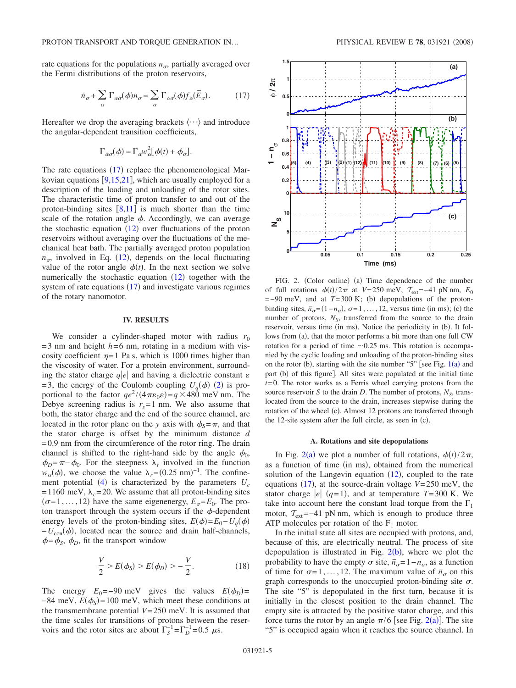rate equations for the populations  $n_{\sigma}$ , partially averaged over the Fermi distributions of the proton reservoirs,

$$
\dot{n}_{\sigma} + \sum_{\alpha} \Gamma_{\alpha\sigma}(\phi) n_{\sigma} = \sum_{\alpha} \Gamma_{\alpha\sigma}(\phi) f_{\alpha}(\bar{E}_{\sigma}). \tag{17}
$$

<span id="page-4-0"></span>Hereafter we drop the averaging brackets  $\langle \cdots \rangle$  and introduce the angular-dependent transition coefficients,

$$
\Gamma_{\alpha\sigma}(\phi) = \Gamma_{\alpha} w_{\alpha}^{2} [\phi(t) + \phi_{\sigma}].
$$

The rate equations  $(17)$  $(17)$  $(17)$  replace the phenomenological Markovian equations  $[9,15,21]$  $[9,15,21]$  $[9,15,21]$  $[9,15,21]$  $[9,15,21]$ , which are usually employed for a description of the loading and unloading of the rotor sites. The characteristic time of proton transfer to and out of the proton-binding sites  $\lceil 8,11 \rceil$  $\lceil 8,11 \rceil$  $\lceil 8,11 \rceil$  $\lceil 8,11 \rceil$  is much shorter than the time scale of the rotation angle  $\phi$ . Accordingly, we can average the stochastic equation  $(12)$  $(12)$  $(12)$  over fluctuations of the proton reservoirs without averaging over the fluctuations of the mechanical heat bath. The partially averaged proton population  $n_{\sigma}$ , involved in Eq. ([12](#page-3-4)), depends on the local fluctuating value of the rotor angle  $\phi(t)$ . In the next section we solve numerically the stochastic equation  $(12)$  $(12)$  $(12)$  together with the system of rate equations  $(17)$  $(17)$  $(17)$  and investigate various regimes of the rotary nanomotor.

# **IV. RESULTS**

We consider a cylinder-shaped motor with radius  $r_0$  $=$ 3 nm and height  $h$ =6 nm, rotating in a medium with viscosity coefficient  $\eta = 1$  Pa s, which is 1000 times higher than the viscosity of water. For a protein environment, surrounding the stator charge  $q|e|$  and having a dielectric constant  $\varepsilon$  $=$  3, the energy of the Coulomb coupling  $U_q(\phi)$  ([2](#page-2-1)) is proportional to the factor  $qe^2/(4\pi\varepsilon_0 \varepsilon) = q \times 480$  meV nm. The Debye screening radius is  $r_s = 1$  nm. We also assume that both, the stator charge and the end of the source channel, are located in the rotor plane on the *y* axis with  $\phi_s = \pi$ , and that the stator charge is offset by the minimum distance *d*  $=0.9$  nm from the circumference of the rotor ring. The drain channel is shifted to the right-hand side by the angle  $\phi_0$ ,  $\phi_D = \pi - \phi_0$ . For the steepness  $\lambda_r$  involved in the function  $w_{\alpha}(\phi)$ , we choose the value  $\lambda_r = (0.25 \text{ nm})^{-1}$ . The confinement potential  $(4)$  $(4)$  $(4)$  is characterized by the parameters  $U_c$ =1160 meV,  $\lambda_c$ =20. We assume that all proton-binding sites  $(\sigma=1, \ldots, 12)$  have the same eigenenergy,  $E_{\sigma} = E_0$ . The proton transport through the system occurs if the  $\phi$ -dependent energy levels of the proton-binding sites,  $E(\phi) = E_0 - U_q(\phi)$  $-U_{\text{con}}(\phi)$ , located near the source and drain half-channels,  $\phi = \phi_s$ ,  $\phi_p$ , fit the transport window

$$
\frac{V}{2} > E(\phi_S) > E(\phi_D) > -\frac{V}{2}.
$$
 (18)

<span id="page-4-2"></span>The energy  $E_0 = -90$  meV gives the values  $E(\phi_D) =$  $-84$  meV,  $E(\phi_s) = 100$  meV, which meet these conditions at the transmembrane potential  $V=250$  meV. It is assumed that the time scales for transitions of protons between the reservoirs and the rotor sites are about  $\Gamma_S^{-1} = \Gamma_D^{-1} = 0.5 \mu s$ .

<span id="page-4-1"></span>

FIG. 2. (Color online) (a) Time dependence of the number of full rotations  $\phi(t)/2\pi$  at *V*=250 meV,  $T_{ext}$ =−41 pN nm,  $E_0$  $=$  -90 meV, and at  $T=300$  K; (b) depopulations of the protonbinding sites,  $\overline{n}_{\sigma} = (1 - n_{\sigma}), \sigma = 1, ..., 12$ , versus time (in ms); (c) the number of protons,  $N<sub>S</sub>$ , transferred from the source to the drain reservoir, versus time (in ms). Notice the periodicity in (b). It follows from (a), that the motor performs a bit more than one full CW rotation for a period of time  $\sim 0.25$  ms. This rotation is accompanied by the cyclic loading and unloading of the proton-binding sites on the rotor (b), starting with the site number "5" [see Fig.  $1(a)$  $1(a)$  and part (b) of this figure]. All sites were populated at the initial time *t*=0. The rotor works as a Ferris wheel carrying protons from the source reservoir *S* to the drain *D*. The number of protons,  $N<sub>S</sub>$ , translocated from the source to the drain, increases stepwise during the rotation of the wheel (c). Almost 12 protons are transferred through the 12-site system after the full circle, as seen in (c).

#### **A. Rotations and site depopulations**

In Fig. [2](#page-4-1)(a) we plot a number of full rotations,  $\phi(t)/2\pi$ , as a function of time (in ms), obtained from the numerical solution of the Langevin equation  $(12)$  $(12)$  $(12)$ , coupled to the rate equations ([17](#page-4-0)), at the source-drain voltage  $V=250$  meV, the stator charge  $|e|$  ( $q=1$ ), and at temperature  $T=300$  K. We take into account here the constant load torque from the  $F_1$ motor,  $T_{ext}$ =−41 pN nm, which is enough to produce three ATP molecules per rotation of the  $F_1$  motor.

In the initial state all sites are occupied with protons, and, because of this, are electrically neutral. The process of site depopulation is illustrated in Fig.  $2(b)$  $2(b)$ , where we plot the probability to have the empty  $\sigma$  site,  $\bar{n}_{\sigma}$ =1−*n*<sub> $\sigma$ </sub>, as a function of time for  $\sigma = 1, \ldots, 12$ . The maximum value of  $\bar{n}_{\sigma}$  on this graph corresponds to the unoccupied proton-binding site  $\sigma$ . The site "5" is depopulated in the first turn, because it is initially in the closest position to the drain channel. The empty site is attracted by the positive stator charge, and this force turns the rotor by an angle  $\pi/6$  [see Fig. [2](#page-4-1)(a)]. The site "5" is occupied again when it reaches the source channel. In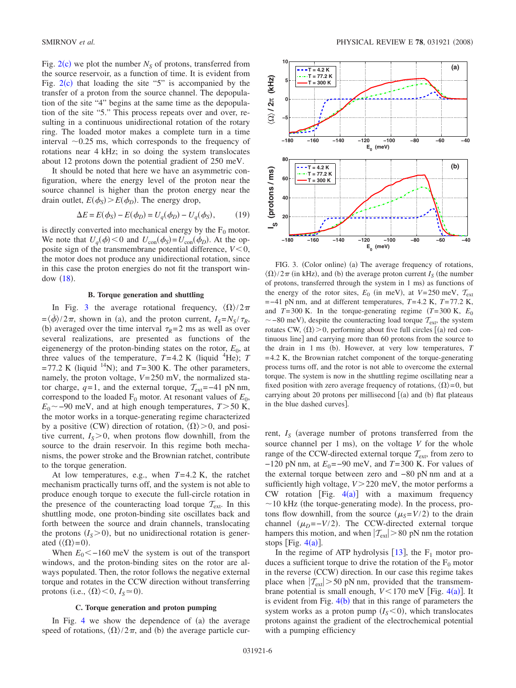Fig.  $2(c)$  $2(c)$  we plot the number  $N<sub>S</sub>$  of protons, transferred from the source reservoir, as a function of time. It is evident from Fig.  $2(c)$  $2(c)$  that loading the site "5" is accompanied by the transfer of a proton from the source channel. The depopulation of the site "4" begins at the same time as the depopulation of the site "5." This process repeats over and over, resulting in a continuous unidirectional rotation of the rotary ring. The loaded motor makes a complete turn in a time interval  $\sim 0.25$  ms, which corresponds to the frequency of rotations near 4 kHz; in so doing the system translocates about 12 protons down the potential gradient of 250 meV.

It should be noted that here we have an asymmetric configuration, where the energy level of the proton near the source channel is higher than the proton energy near the drain outlet,  $E(\phi_S) > E(\phi_D)$ . The energy drop,

$$
\Delta E = E(\phi_S) - E(\phi_D) = U_q(\phi_D) - U_q(\phi_S), \tag{19}
$$

is directly converted into mechanical energy by the  $F_0$  motor. We note that  $U_q(\phi) < 0$  and  $U_{con}(\phi_S) = U_{con}(\phi_D)$ . At the opposite sign of the transmembrane potential difference,  $V < 0$ , the motor does not produce any unidirectional rotation, since in this case the proton energies do not fit the transport window  $(18)$  $(18)$  $(18)$ .

## **B. Torque generation and shuttling**

In Fig. [3](#page-5-0) the average rotational frequency,  $\langle \Omega \rangle / 2\pi$  $=$  $\langle \dot{\phi} \rangle / 2\pi$ , shown in (a), and the proton current,  $I_S = N_S / \tau_R$ , (b) averaged over the time interval  $\tau_R = 2$  ms as well as over several realizations, are presented as functions of the eigenenergy of the proton-binding states on the rotor,  $E_0$ , at three values of the temperature,  $T=4.2$  K (liquid <sup>4</sup>He); *T*  $=77.2$  K (liquid <sup>14</sup>N); and *T*=300 K. The other parameters, namely, the proton voltage, *V*=250 mV, the normalized stator charge,  $q=1$ , and the external torque,  $T_{ext}=-41$  pN nm, correspond to the loaded  $F_0$  motor. At resonant values of  $E_0$ ,  $E_0$  ~ -90 meV, and at high enough temperatures, *T* > 50 K, the motor works in a torque-generating regime characterized by a positive (CW) direction of rotation,  $\langle \Omega \rangle > 0$ , and positive current,  $I_s > 0$ , when protons flow downhill, from the source to the drain reservoir. In this regime both mechanisms, the power stroke and the Brownian ratchet, contribute to the torque generation.

At low temperatures, e.g., when *T*=4.2 K, the ratchet mechanism practically turns off, and the system is not able to produce enough torque to execute the full-circle rotation in the presence of the counteracting load torque  $T_{ext}$ . In this shuttling mode, one proton-binding site oscillates back and forth between the source and drain channels, translocating the protons  $(I<sub>S</sub> > 0)$ , but no unidirectional rotation is generated  $(\langle \Omega \rangle = 0)$ .

When  $E_0$ < -160 meV the system is out of the transport windows, and the proton-binding sites on the rotor are always populated. Then, the rotor follows the negative external torque and rotates in the CCW direction without transferring protons (i.e.,  $\langle \Omega \rangle \langle 0, I_s \simeq 0$ ).

#### **C. Torque generation and proton pumping**

In Fig. [4](#page-6-0) we show the dependence of  $(a)$  the average speed of rotations,  $\langle \Omega \rangle / 2\pi$ , and (b) the average particle cur-

<span id="page-5-0"></span>

FIG. 3. (Color online) (a) The average frequency of rotations,  $\langle \Omega \rangle / 2\pi$  (in kHz), and (b) the average proton current *I<sub>S</sub>* (the number of protons, transferred through the system in 1 ms) as functions of the energy of the rotor sites,  $E_0$  (in meV), at  $V=250$  meV,  $T_{ext}$ =−41 pN nm, and at different temperatures, *T*=4.2 K, *T*=77.2 K, and  $T=300$  K. In the torque-generating regime  $(T=300$  K,  $E_0$  $\sim$  –80 meV), despite the counteracting load torque  $\tau_{\text{ext}}$ , the system rotates CW,  $\langle \Omega \rangle$  > 0, performing about five full circles [(a) red continuous line] and carrying more than 60 protons from the source to the drain in 1 ms (b). However, at very low temperatures, *T* =4.2 K, the Brownian ratchet component of the torque-generating process turns off, and the rotor is not able to overcome the external torque. The system is now in the shuttling regime oscillating near a fixed position with zero average frequency of rotations,  $\langle \Omega \rangle = 0$ , but carrying about 20 protons per millisecond  $[(a)$  and  $(b)$  flat plateaus in the blue dashed curves].

rent,  $I_s$  (average number of protons transferred from the source channel per 1 ms), on the voltage *V* for the whole range of the CCW-directed external torque  $\mathcal{T}_{ext}$ , from zero to −120 pN nm, at *E*<sub>0</sub>=−90 meV, and *T*=300 K. For values of the external torque between zero and −80 pN nm and at a sufficiently high voltage,  $V > 220$  meV, the motor performs a CW rotation [Fig.  $4(a)$  $4(a)$ ] with a maximum frequency  $\sim$  10 kHz (the torque-generating mode). In the process, protons flow downhill, from the source  $(\mu_s = V/2)$  to the drain channel  $(\mu_D = -V/2)$ . The CCW-directed external torque hampers this motion, and when  $|T_{ext}| > 80$  pN nm the rotation stops [Fig.  $4(a)$  $4(a)$ ].

In the regime of ATP hydrolysis [[13](#page-8-8)], the  $F_1$  motor produces a sufficient torque to drive the rotation of the  $F_0$  motor in the reverse (CCW) direction. In our case this regime takes place when  $|T_{ext}| > 50$  pN nm, provided that the transmembrane potential is small enough,  $V < 170$  meV [Fig. [4](#page-6-0)(a)]. It is evident from Fig.  $4(b)$  $4(b)$  that in this range of parameters the system works as a proton pump  $(I<sub>S</sub>< 0)$ , which translocates protons against the gradient of the electrochemical potential with a pumping efficiency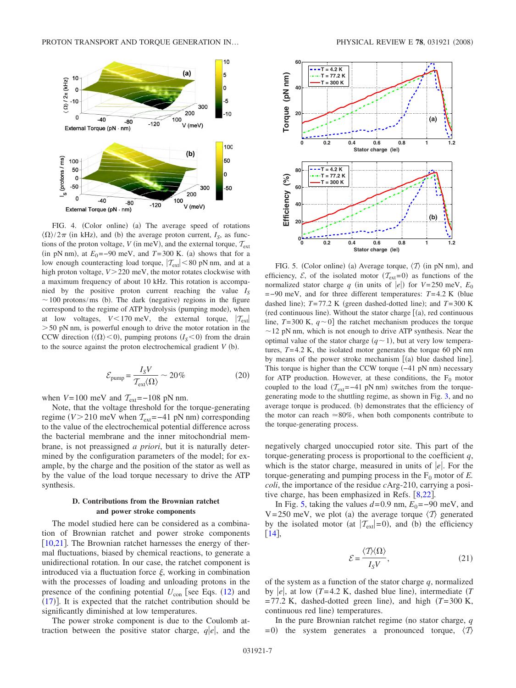<span id="page-6-0"></span>

FIG. 4. (Color online) (a) The average speed of rotations  $\langle \Omega \rangle / 2\pi$  (in kHz), and (b) the average proton current, *I<sub>S</sub>*, as functions of the proton voltage, *V* (in meV), and the external torque,  $T_{ext}$  $(in pN nm)$ , at  $E_0 = -90$  meV, and  $T = 300$  K. (a) shows that for a low enough counteracting load torque,  $|T_{ext}| < 80$  pN nm, and at a high proton voltage,  $V > 220$  meV, the motor rotates clockwise with a maximum frequency of about 10 kHz. This rotation is accompanied by the positive proton current reaching the value  $I<sub>S</sub>$  $\sim$  100 protons/ms (b). The dark (negative) regions in the figure correspond to the regime of ATP hydrolysis (pumping mode), when at low voltages,  $V < 170$  meV, the external torque,  $|\mathcal{T}_{ext}|$  $>$  50 pN nm, is powerful enough to drive the motor rotation in the CCW direction ( $\langle \Omega \rangle$ <0), pumping protons ( $I<sub>S</sub>$ <0) from the drain to the source against the proton electrochemical gradient  $V$  (b).

$$
\mathcal{E}_{\text{pump}} = \frac{I_S V}{\mathcal{T}_{\text{ext}}(\Omega)} \sim 20\%
$$
 (20)

when  $V=100$  meV and  $T_{ext}=-108$  pN nm.

Note, that the voltage threshold for the torque-generating regime  $(V>210$  meV when  $T_{ext}$ =−41 pN nm) corresponding to the value of the electrochemical potential difference across the bacterial membrane and the inner mitochondrial membrane, is not preassigned *a priori*, but it is naturally determined by the configuration parameters of the model; for example, by the charge and the position of the stator as well as by the value of the load torque necessary to drive the ATP synthesis.

# **D. Contributions from the Brownian ratchet and power stroke components**

The model studied here can be considered as a combination of Brownian ratchet and power stroke components [ $10,21$  $10,21$ ]. The Brownian ratchet harnesses the energy of thermal fluctuations, biased by chemical reactions, to generate a unidirectional rotation. In our case, the ratchet component is introduced via a fluctuation force  $\xi$ , working in combination with the processes of loading and unloading protons in the presence of the confining potential  $U_{\text{con}}$  [see Eqs.  $(12)$  $(12)$  $(12)$  and  $(17)$  $(17)$  $(17)$ ]. It is expected that the ratchet contribution should be significantly diminished at low temperatures.

The power stroke component is due to the Coulomb attraction between the positive stator charge,  $q|e|$ , and the

<span id="page-6-1"></span>

FIG. 5. (Color online) (a) Average torque,  $\langle T \rangle$  (in pN nm), and efficiency,  $\mathcal{E}$ , of the isolated motor  $(\mathcal{T}_{ext}=0)$  as functions of the normalized stator charge *q* (in units of  $|e|$ ) for *V*=250 meV,  $E_0$ =−90 meV, and for three different temperatures: *T*=4.2 K (blue dashed line);  $T=77.2$  K (green dashed-dotted line); and  $T=300$  K (red continuous line). Without the stator charge  $[(a)$ , red continuous line,  $T=300 \text{ K}$ ,  $q \sim 0$  the ratchet mechanism produces the torque  $\sim$  12 pN nm, which is not enough to drive ATP synthesis. Near the optimal value of the stator charge  $(q \sim 1)$ , but at very low temperatures,  $T=4.2$  K, the isolated motor generates the torque 60 pN nm by means of the power stroke mechanism  $[(a)$  blue dashed line]. This torque is higher than the CCW torque (-41 pN nm) necessary for ATP production. However, at these conditions, the  $F_0$  motor coupled to the load  $(\mathcal{T}_{ext} = -41 \text{ pN nm})$  switches from the torquegenerating mode to the shuttling regime, as shown in Fig. [3,](#page-5-0) and no average torque is produced. (b) demonstrates that the efficiency of the motor can reach  $\approx 80\%$ , when both components contribute to the torque-generating process.

negatively charged unoccupied rotor site. This part of the torque-generating process is proportional to the coefficient *q*, which is the stator charge, measured in units of  $|e|$ . For the torque-generating and pumping process in the  $F_0$  motor of  $E$ . *coli*, the importance of the residue *c*Arg-210, carrying a positive charge, has been emphasized in Refs.  $[8,22]$  $[8,22]$  $[8,22]$  $[8,22]$ .

In Fig. [5,](#page-6-1) taking the values  $d=0.9$  nm,  $E_0=-90$  meV, and V=250 meV, we plot (a) the average torque  $\langle T \rangle$  generated by the isolated motor (at  $|\mathcal{T}_{ext}|=0$ ), and (b) the efficiency  $\lceil 14 \rceil$  $\lceil 14 \rceil$  $\lceil 14 \rceil$ ,

$$
\mathcal{E} = \frac{\langle \mathcal{T} \rangle \langle \Omega \rangle}{I_S V},\tag{21}
$$

of the system as a function of the stator charge *q*, normalized by  $|e|$ , at low  $(T=4.2 \text{ K}$ , dashed blue line), intermediate  $(T=4.2 \text{ K})$  $=77.2$  K, dashed-dotted green line), and high  $(T=300$  K, continuous red line) temperatures.

In the pure Brownian ratchet regime (no stator charge, *q*  $= 0$ ) the system generates a pronounced torque,  $\langle T \rangle$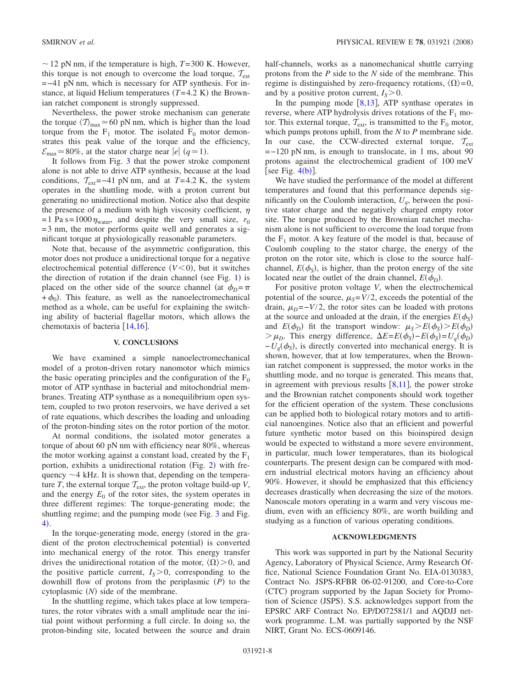$\sim$  12 pN nm, if the temperature is high, *T*=300 K. However, this torque is not enough to overcome the load torque,  $T_{ext}$ =−41 pN nm, which is necessary for ATP synthesis. For instance, at liquid Helium temperatures  $(T=4.2 \text{ K})$  the Brownian ratchet component is strongly suppressed.

Nevertheless, the power stroke mechanism can generate the torque  $\langle T \rangle_{\text{max}} \approx 60 \text{ pN nm}$ , which is higher than the load torque from the  $F_1$  motor. The isolated  $F_0$  motor demonstrates this peak value of the torque and the efficiency,  $\mathcal{E}_{\text{max}} \approx 80\%$ , at the stator charge near *e q*  $\approx$  1).

It follows from Fig. [3](#page-5-0) that the power stroke component alone is not able to drive ATP synthesis, because at the load conditions,  $T_{ext}$ =−41 pN nm, and at *T*=4.2 K, the system operates in the shuttling mode, with a proton current but generating no unidirectional motion. Notice also that despite the presence of a medium with high viscosity coefficient,  $\eta$ =1 Pa s=1000 $\eta_{\text{water}}$ , and despite the very small size,  $r_0$  $=$  3 nm, the motor performs quite well and generates a significant torque at physiologically reasonable parameters.

Note that, because of the asymmetric configuration, this motor does not produce a unidirectional torque for a negative electrochemical potential difference  $(V<0)$ , but it switches the direction of rotation if the drain channel (see Fig.  $1$ ) is placed on the other side of the source channel (at  $\phi_D = \pi$  $+\phi_0$ ). This feature, as well as the nanoelectromechanical method as a whole, can be useful for explaining the switching ability of bacterial flagellar motors, which allows the chemotaxis of bacteria  $[14,16]$  $[14,16]$  $[14,16]$  $[14,16]$ .

### **V. CONCLUSIONS**

We have examined a simple nanoelectromechanical model of a proton-driven rotary nanomotor which mimics the basic operating principles and the configuration of the  $F_0$ motor of ATP synthase in bacterial and mitochondrial membranes. Treating ATP synthase as a nonequilibrium open system, coupled to two proton reservoirs, we have derived a set of rate equations, which describes the loading and unloading of the proton-binding sites on the rotor portion of the motor.

At normal conditions, the isolated motor generates a torque of about 60 pN nm with efficiency near 80%, whereas the motor working against a constant load, created by the  $F_1$ portion, exhibits a unidirectional rotation (Fig. [2](#page-4-1)) with frequency  $\sim$  4 kHz. It is shown that, depending on the temperature *T*, the external torque  $T_{ext}$ , the proton voltage build-up *V*, and the energy  $E_0$  of the rotor sites, the system operates in three different regimes: The torque-generating mode; the shuttling regime; and the pumping mode (see Fig. [3](#page-5-0) and Fig. [4](#page-6-0)).

In the torque-generating mode, energy (stored in the gradient of the proton electrochemical potential) is converted into mechanical energy of the rotor. This energy transfer drives the unidirectional rotation of the motor,  $\langle \Omega \rangle > 0$ , and the positive particle current,  $I_s$ >0, corresponding to the downhill flow of protons from the periplasmic  $(P)$  to the cytoplasmic (N) side of the membrane.

In the shuttling regime, which takes place at low temperatures, the rotor vibrates with a small amplitude near the initial point without performing a full circle. In doing so, the proton-binding site, located between the source and drain half-channels, works as a nanomechanical shuttle carrying protons from the *P* side to the *N* side of the membrane. This regime is distinguished by zero-frequency rotations,  $\langle \Omega \rangle = 0$ , and by a positive proton current,  $I_s > 0$ .

In the pumping mode  $[8,13]$  $[8,13]$  $[8,13]$  $[8,13]$ , ATP synthase operates in reverse, where ATP hydrolysis drives rotations of the  $F_1$  motor. This external torque,  $T_{ext}$ , is transmitted to the  $F_0$  motor, which pumps protons uphill, from the *N* to *P* membrane side. In our case, the CCW-directed external torque,  $T_{\text{ext}}$ =−120 pN nm, is enough to translocate, in 1 ms, about 90 protons against the electrochemical gradient of 100 meV [see Fig.  $4(b)$  $4(b)$ ].

We have studied the performance of the model at different temperatures and found that this performance depends significantly on the Coulomb interaction,  $U_a$ , between the positive stator charge and the negatively charged empty rotor site. The torque produced by the Brownian ratchet mechanism alone is not sufficient to overcome the load torque from the  $F_1$  motor. A key feature of the model is that, because of Coulomb coupling to the stator charge, the energy of the proton on the rotor site, which is close to the source halfchannel,  $E(\phi_s)$ , is higher, than the proton energy of the site located near the outlet of the drain channel,  $E(\phi_D)$ .

For positive proton voltage *V*, when the electrochemical potential of the source,  $\mu_s = V/2$ , exceeds the potential of the drain,  $\mu_D = -V/2$ , the rotor sites can be loaded with protons at the source and unloaded at the drain, if the energies  $E(\phi_S)$ and  $E(\phi_D)$  fit the transport window:  $\mu_S > E(\phi_S) > E(\phi_D)$  $> \mu_D$ . This energy difference,  $\Delta E = E(\phi_S) - E(\phi_S) = U_q(\phi_D)$  $-U_q(\phi_s)$ , is directly converted into mechanical energy. It is shown, however, that at low temperatures, when the Brownian ratchet component is suppressed, the motor works in the shuttling mode, and no torque is generated. This means that, in agreement with previous results  $\lceil 8,11 \rceil$  $\lceil 8,11 \rceil$  $\lceil 8,11 \rceil$  $\lceil 8,11 \rceil$ , the power stroke and the Brownian ratchet components should work together for the efficient operation of the system. These conclusions can be applied both to biological rotary motors and to artificial nanoengines. Notice also that an efficient and powerful future synthetic motor based on this bioinspired design would be expected to withstand a more severe environment, in particular, much lower temperatures, than its biological counterparts. The present design can be compared with modern industrial electrical motors having an efficiency about 90%. However, it should be emphasized that this efficiency decreases drastically when decreasing the size of the motors. Nanoscale motors operating in a warm and very viscous medium, even with an efficiency 80%, are worth building and studying as a function of various operating conditions.

#### **ACKNOWLEDGMENTS**

This work was supported in part by the National Security Agency, Laboratory of Physical Science, Army Research Office, National Science Foundation Grant No. EIA-0130383, Contract No. JSPS-RFBR 06-02-91200, and Core-to-Core (CTC) program supported by the Japan Society for Promotion of Science (JSPS). S.S. acknowledges support from the EPSRC ARF Contract No. EP/D072581/1 and AQDJJ network programme. L.M. was partially supported by the NSF NIRT, Grant No. ECS-0609146.